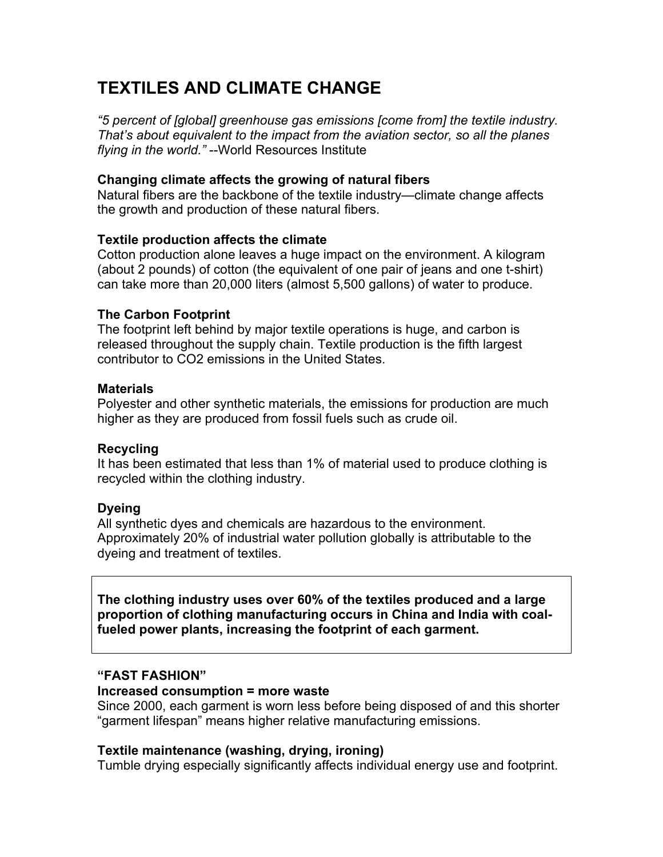# **TEXTILES AND CLIMATE CHANGE**

*"5 percent of [global] greenhouse gas emissions [come from] the textile industry. That's about equivalent to the impact from the aviation sector, so all the planes flying in the world."* --World Resources Institute

### **Changing climate affects the growing of natural fibers**

Natural fibers are the backbone of the textile industry—climate change affects the growth and production of these natural fibers.

#### **Textile production affects the climate**

Cotton production alone leaves a huge impact on the environment. A kilogram (about 2 pounds) of cotton (the equivalent of one pair of jeans and one t-shirt) can take more than 20,000 liters (almost 5,500 gallons) of water to produce.

#### **The Carbon Footprint**

The footprint left behind by major textile operations is huge, and carbon is released throughout the supply chain. Textile production is the fifth largest contributor to CO2 emissions in the United States.

#### **Materials**

Polyester and other synthetic materials, the emissions for production are much higher as they are produced from fossil fuels such as crude oil.

#### **Recycling**

It has been estimated that less than 1% of material used to produce clothing is recycled within the clothing industry.

## **Dyeing**

All synthetic dyes and chemicals are hazardous to the environment. Approximately 20% of industrial water pollution globally is attributable to the dyeing and treatment of textiles.

**The clothing industry uses over 60% of the textiles produced and a large proportion of clothing manufacturing occurs in China and India with coalfueled power plants, increasing the footprint of each garment.**

## **"FAST FASHION"**

#### **Increased consumption = more waste**

Since 2000, each garment is worn less before being disposed of and this shorter "garment lifespan" means higher relative manufacturing emissions.

#### **Textile maintenance (washing, drying, ironing)**

Tumble drying especially significantly affects individual energy use and footprint.